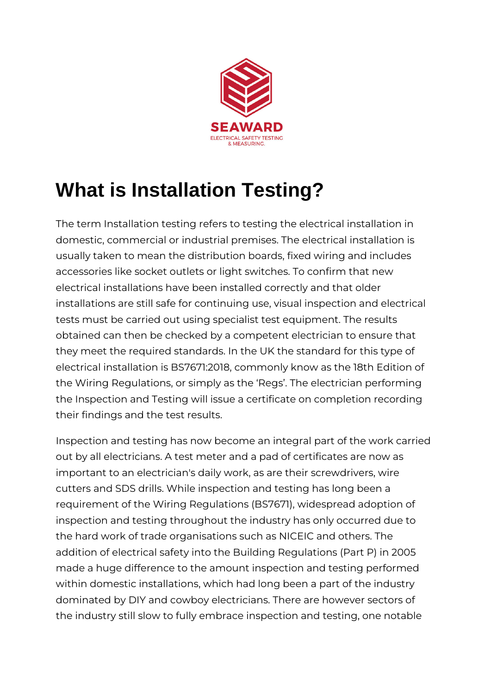

## **What is Installation Testing?**

The term Installation testing refers to testing the electrical installation in domestic, commercial or industrial premises. The electrical installation is usually taken to mean the distribution boards, fixed wiring and includes accessories like socket outlets or light switches. To confirm that new electrical installations have been installed correctly and that older installations are still safe for continuing use, visual inspection and electrical tests must be carried out using specialist test equipment. The results obtained can then be checked by a competent electrician to ensure that they meet the required standards. In the UK the standard for this type of electrical installation is BS7671:2018, commonly know as the 18th Edition of the Wiring Regulations, or simply as the 'Regs'. The electrician performing the Inspection and Testing will issue a certificate on completion recording their findings and the test results.

Inspection and testing has now become an integral part of the work carried out by all electricians. A test meter and a pad of certificates are now as important to an electrician's daily work, as are their screwdrivers, wire cutters and SDS drills. While inspection and testing has long been a requirement of the Wiring Regulations (BS7671), widespread adoption of inspection and testing throughout the industry has only occurred due to the hard work of trade organisations such as NICEIC and others. The addition of electrical safety into the Building Regulations (Part P) in 2005 made a huge difference to the amount inspection and testing performed within domestic installations, which had long been a part of the industry dominated by DIY and cowboy electricians. There are however sectors of the industry still slow to fully embrace inspection and testing, one notable